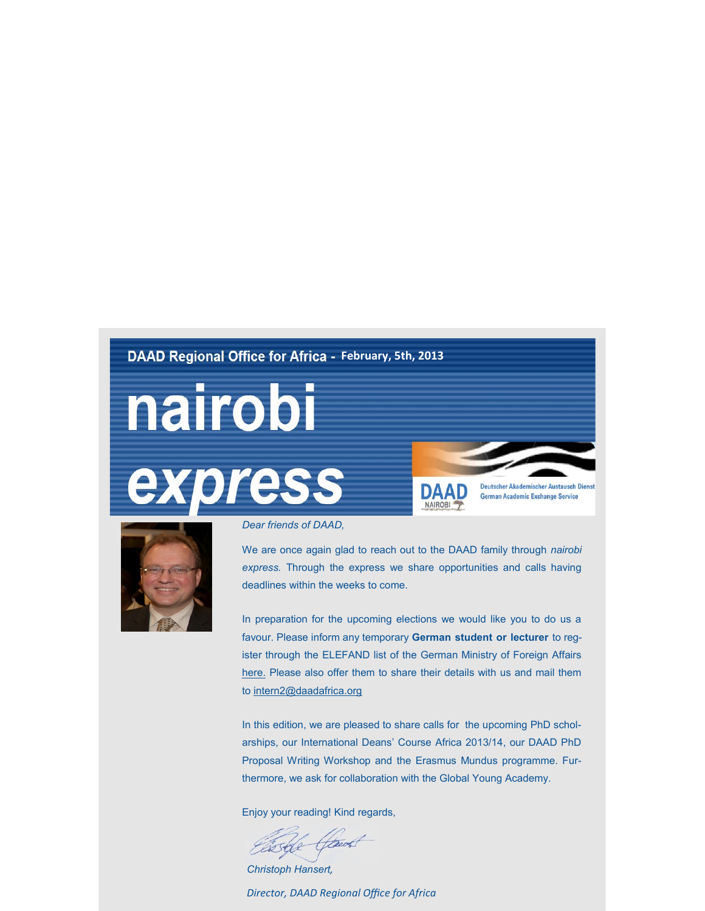## **DAAD Regional Office for Africa - February, 5th, 2013**





Deutscher Akademischer Austausch Dienst **German Academic Exchange Service** 



*Dear friends of DAAD,*

We are once again glad to reach out to the DAAD family through *nairobi express.* Through the express we share opportunities and calls having deadlines within the weeks to come.

In preparation for the upcoming elections we would like you to do us a favour. Please inform any temporary **German student or lecturer** to register through the ELEFAND list of the German Ministry of Foreign Affairs [here.](https://service.diplo.de/elefandextern/home/registration!form.action) Please also offer them to share their details with us and mail them to [intern2@daadafrica.org](mailto:intern2@daadafrica.org)

In this edition, we are pleased to share calls for the upcoming PhD scholarships, our International Deans' Course Africa 2013/14, our DAAD PhD Proposal Writing Workshop and the Erasmus Mundus programme. Furthermore, we ask for collaboration with the Global Young Academy.

Enjoy your reading! Kind regards,

Ele Haut

*Christoph Hansert,* 

*Director, DAAD Regional Office for Africa*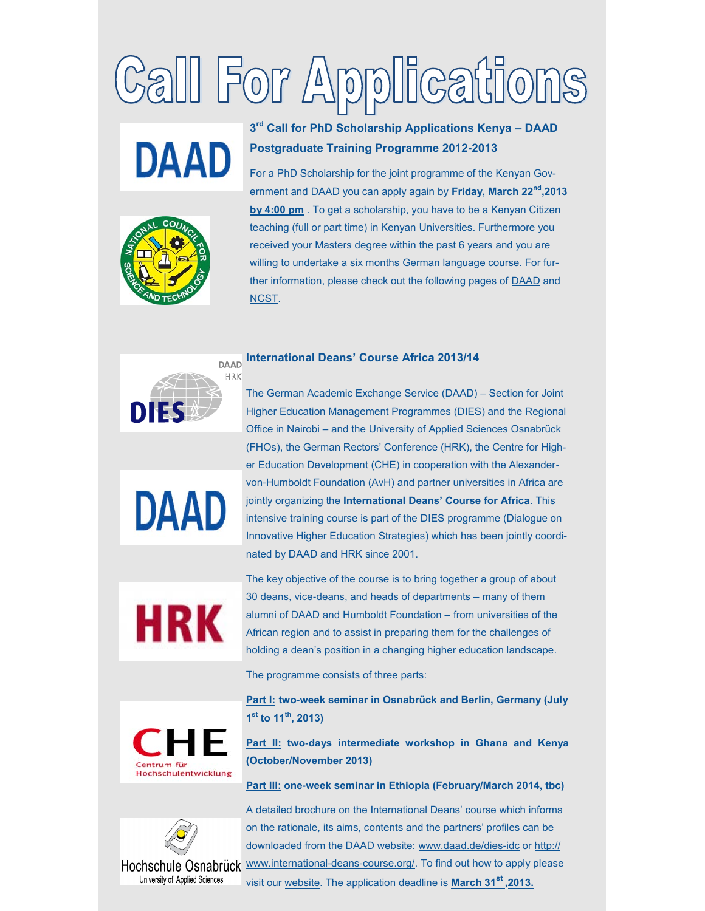# Gall For Applications

# **DAAD**

# **3rd Call for PhD Scholarship Applications Kenya – DAAD Postgraduate Training Programme 2012-2013**

For a PhD Scholarship for the joint programme of the Kenyan Government and DAAD you can apply again by **Friday, March 22nd,2013 by 4:00 pm** . To get a scholarship, you have to be a Kenyan Citizen teaching (full or part time) in Kenyan Universities. Furthermore you received your Masters degree within the past 6 years and you are willing to undertake a six months German language course. For further information, please check out the following pages of [DAAD a](http://nairobi.daad.de/kgphd.php)nd [NCST.](http://www.ncst.go.ke/)

#### **International Deans' Course Africa 2013/14**

**DAAD** HRK **DIES** 



Higher Education Management Programmes (DIES) and the Regional Office in Nairobi – and the University of Applied Sciences Osnabrück (FHOs), the German Rectors' Conference (HRK), the Centre for Higher Education Development (CHE) in cooperation with the Alexandervon-Humboldt Foundation (AvH) and partner universities in Africa are jointly organizing the **International Deans' Course for Africa**. This intensive training course is part of the DIES programme (Dialogue on Innovative Higher Education Strategies) which has been jointly coordinated by DAAD and HRK since 2001.

The German Academic Exchange Service (DAAD) – Section for Joint



The key objective of the course is to bring together a group of about 30 deans, vice-deans, and heads of departments – many of them alumni of DAAD and Humboldt Foundation – from universities of the African region and to assist in preparing them for the challenges of holding a dean's position in a changing higher education landscape.

The programme consists of three parts:

**Part I: two-week seminar in Osnabrück and Berlin, Germany (July 1st to 11th, 2013)**



**Part II: two-days intermediate workshop in Ghana and Kenya (October/November 2013)**

**Part III: one-week seminar in Ethiopia (February/March 2014, tbc)**



A detailed brochure on the International Deans' course which informs on the rationale, its aims, contents and the partners' profiles can be downloaded from the DAAD website: [www.daad.de/dies](http://www.daad.de/dies-idc)-idc or [http://](http://www.international-deans-course.org/) Hochschule Osnabrück [www.international](http://www.international-deans-course.org/)-deans-course.org/. To find out how to apply please visit our [website.](http://nairobi.daad.de/) The application deadline is **March 31st ,2013.**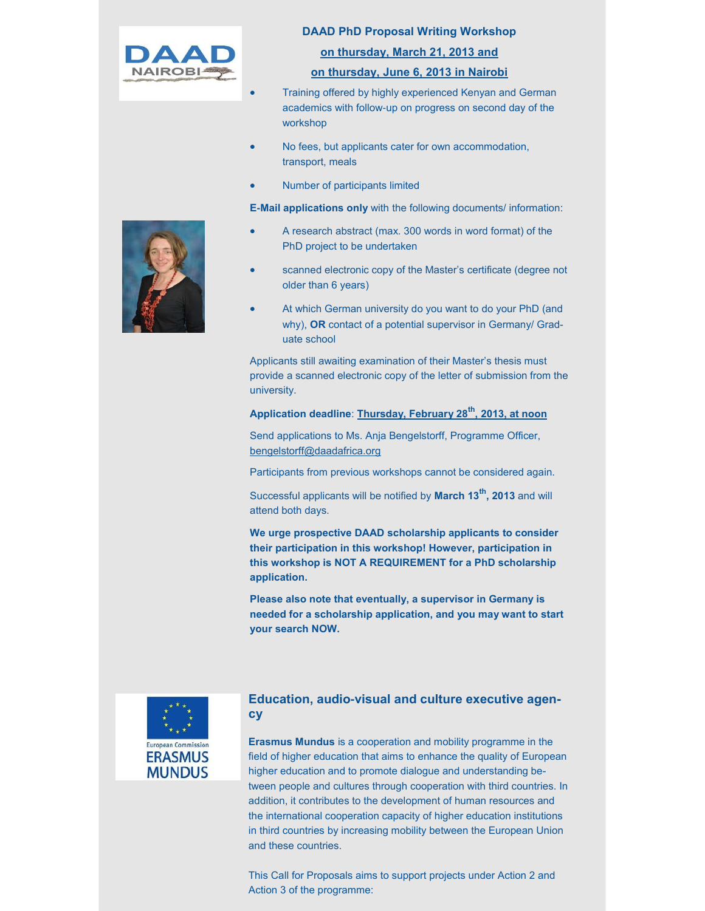

#### **DAAD PhD Proposal Writing Workshop**

#### **on thursday, March 21, 2013 and**

#### **on thursday, June 6, 2013 in Nairobi**

- Training offered by highly experienced Kenyan and German academics with follow-up on progress on second day of the workshop
- No fees, but applicants cater for own accommodation, transport, meals
- Number of participants limited

**E-Mail applications only** with the following documents/ information:

- A research abstract (max. 300 words in word format) of the PhD project to be undertaken
- scanned electronic copy of the Master's certificate (degree not older than 6 years)
- At which German university do you want to do your PhD (and why), **OR** contact of a potential supervisor in Germany/ Graduate school

Applicants still awaiting examination of their Master's thesis must provide a scanned electronic copy of the letter of submission from the university.

**Application deadline**: **Thursday, February 28th, 2013, at noon** 

Send applications to Ms. Anja Bengelstorff, Programme Officer, [bengelstorff@daadafrica.org](mailto:bengelstorff@daadafrica.org)

Participants from previous workshops cannot be considered again.

Successful applicants will be notified by **March 13th, 2013** and will attend both days.

**We urge prospective DAAD scholarship applicants to consider their participation in this workshop! However, participation in this workshop is NOT A REQUIREMENT for a PhD scholarship application.**

**Please also note that eventually, a supervisor in Germany is needed for a scholarship application, and you may want to start your search NOW.**



### **Education, audio-visual and culture executive agency**

**Erasmus Mundus** is a cooperation and mobility programme in the field of higher education that aims to enhance the quality of European higher education and to promote dialogue and understanding between people and cultures through cooperation with third countries. In addition, it contributes to the development of human resources and the international cooperation capacity of higher education institutions in third countries by increasing mobility between the European Union and these countries.

This Call for Proposals aims to support projects under Action 2 and Action 3 of the programme: